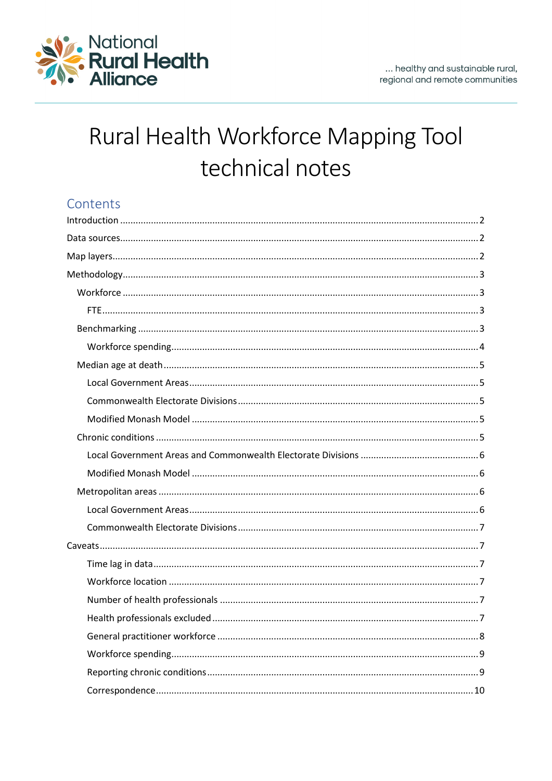

# Rural Health Workforce Mapping Tool technical notes

# Contents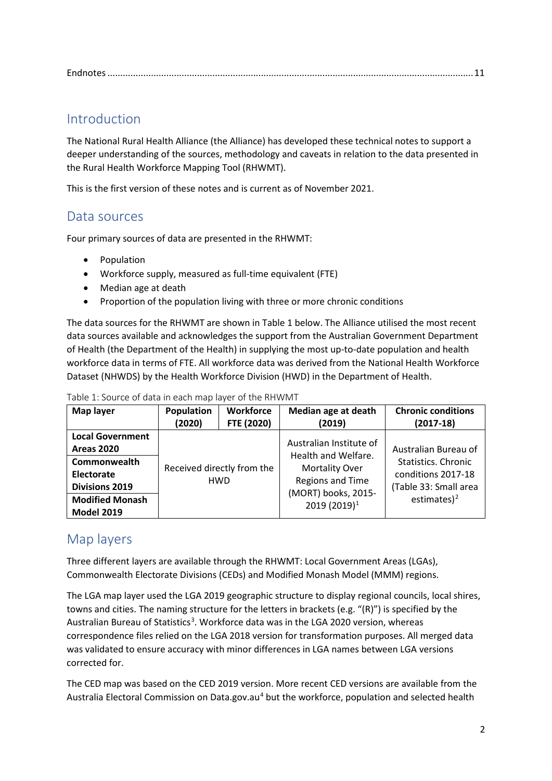|--|

# <span id="page-1-0"></span>Introduction

The National Rural Health Alliance (the Alliance) has developed these technical notes to support a deeper understanding of the sources, methodology and caveats in relation to the data presented in the Rural Health Workforce Mapping Tool (RHWMT).

This is the first version of these notes and is current as of November 2021.

# <span id="page-1-1"></span>Data sources

Four primary sources of data are presented in the RHWMT:

- Population
- Workforce supply, measured as full-time equivalent (FTE)
- Median age at death
- Proportion of the population living with three or more chronic conditions

The data sources for the RHWMT are shown in [Table 1](#page-1-3) below. The Alliance utilised the most recent data sources available and acknowledges the support from the Australian Government Department of Health (the Department of the Health) in supplying the most up-to-date population and health workforce data in terms of FTE. All workforce data was derived from the National Health Workforce Dataset (NHWDS) by the Health Workforce Division (HWD) in the Department of Health.

| Map layer                                                                                                                                          | Population | <b>Workforce</b>                         | Median age at death                                                                                                                                   | <b>Chronic conditions</b>                                                                                     |
|----------------------------------------------------------------------------------------------------------------------------------------------------|------------|------------------------------------------|-------------------------------------------------------------------------------------------------------------------------------------------------------|---------------------------------------------------------------------------------------------------------------|
|                                                                                                                                                    | (2020)     | FTE (2020)                               | (2019)                                                                                                                                                | $(2017-18)$                                                                                                   |
| <b>Local Government</b><br><b>Areas 2020</b><br>Commonwealth<br>Electorate<br><b>Divisions 2019</b><br><b>Modified Monash</b><br><b>Model 2019</b> |            | Received directly from the<br><b>HWD</b> | Australian Institute of<br>Health and Welfare.<br><b>Mortality Over</b><br><b>Regions and Time</b><br>(MORT) books, 2015-<br>2019 (2019) <sup>1</sup> | Australian Bureau of<br>Statistics. Chronic<br>conditions 2017-18<br>(Table 33: Small area<br>estimates $)^2$ |

<span id="page-1-3"></span>Table 1: Source of data in each map layer of the RHWMT

# <span id="page-1-4"></span><span id="page-1-2"></span>Map layers

Three different layers are available through the RHWMT: Local Government Areas (LGAs), Commonwealth Electorate Divisions (CEDs) and Modified Monash Model (MMM) regions.

The LGA map layer used the LGA 2019 geographic structure to display regional councils, local shires, towns and cities. The naming structure for the letters in brackets (e.g. "(R)") is specified by the Australian Bureau of Statistics<sup>[3](#page-10-3)</sup>. Workforce data was in the LGA 2020 version, whereas correspondence files relied on the LGA 2018 version for transformation purposes. All merged data was validated to ensure accuracy with minor differences in LGA names between LGA versions corrected for.

The CED map was based on the CED 2019 version. More recent CED versions are available from the Australia Electoral Commission on Data.gov.au<sup>[4](#page-10-4)</sup> but the workforce, population and selected health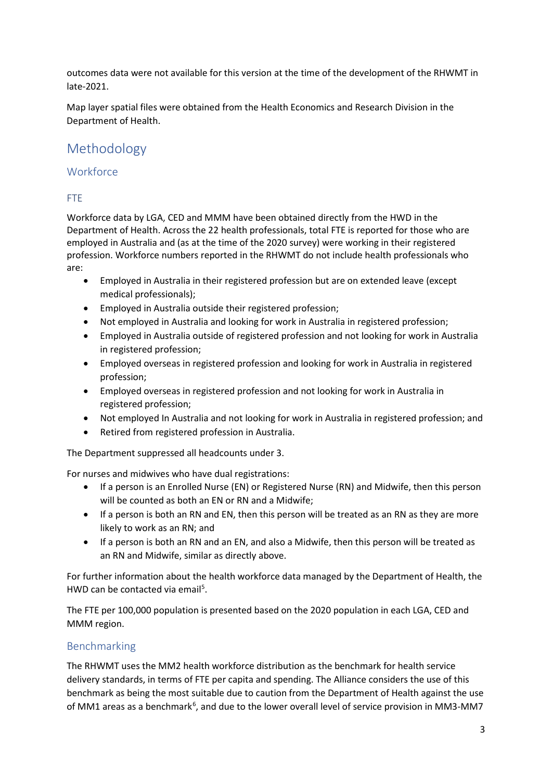outcomes data were not available for this version at the time of the development of the RHWMT in late-2021.

Map layer spatial files were obtained from the Health Economics and Research Division in the Department of Health.

# <span id="page-2-0"></span>Methodology

# <span id="page-2-1"></span>**Workforce**

# <span id="page-2-2"></span>FTE

Workforce data by LGA, CED and MMM have been obtained directly from the HWD in the Department of Health. Across the 22 health professionals, total FTE is reported for those who are employed in Australia and (as at the time of the 2020 survey) were working in their registered profession. Workforce numbers reported in the RHWMT do not include health professionals who are:

- Employed in Australia in their registered profession but are on extended leave (except medical professionals);
- Employed in Australia outside their registered profession;
- Not employed in Australia and looking for work in Australia in registered profession;
- Employed in Australia outside of registered profession and not looking for work in Australia in registered profession;
- Employed overseas in registered profession and looking for work in Australia in registered profession;
- Employed overseas in registered profession and not looking for work in Australia in registered profession;
- Not employed In Australia and not looking for work in Australia in registered profession; and
- Retired from registered profession in Australia.

The Department suppressed all headcounts under 3.

For nurses and midwives who have dual registrations:

- If a person is an Enrolled Nurse (EN) or Registered Nurse (RN) and Midwife, then this person will be counted as both an EN or RN and a Midwife;
- If a person is both an RN and EN, then this person will be treated as an RN as they are more likely to work as an RN; and
- If a person is both an RN and an EN, and also a Midwife, then this person will be treated as an RN and Midwife, similar as directly above.

For further information about the health workforce data managed by the Department of Health, the HWD can be contacted via email<sup>5</sup>.

The FTE per 100,000 population is presented based on the 2020 population in each LGA, CED and MMM region.

# <span id="page-2-3"></span>Benchmarking

The RHWMT uses the MM2 health workforce distribution as the benchmark for health service delivery standards, in terms of FTE per capita and spending. The Alliance considers the use of this benchmark as being the most suitable due to caution from the Department of Health against the use of MM1 areas as a benchmark<sup>[6](#page-10-6)</sup>, and due to the lower overall level of service provision in MM3-MM7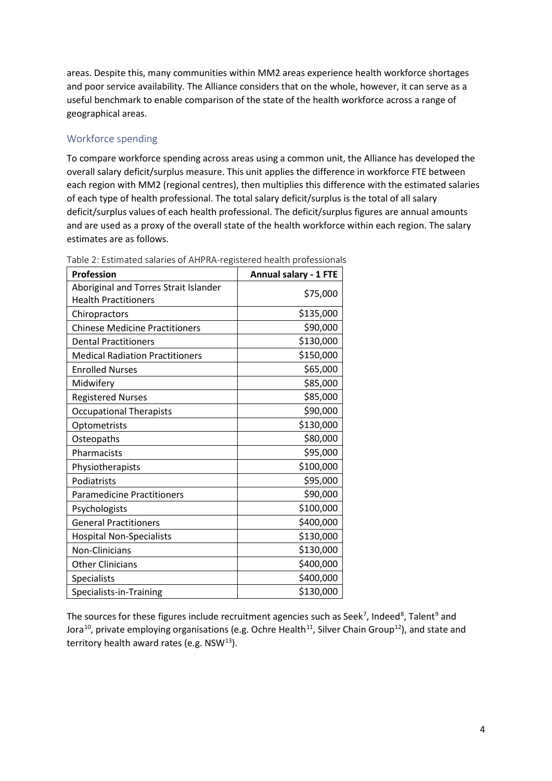areas. Despite this, many communities within MM2 areas experience health workforce shortages and poor service availability. The Alliance considers that on the whole, however, it can serve as a useful benchmark to enable comparison of the state of the health workforce across a range of geographical areas.

# <span id="page-3-0"></span>Workforce spending

To compare workforce spending across areas using a common unit, the Alliance has developed the overall salary deficit/surplus measure. This unit applies the difference in workforce FTE between each region with MM2 (regional centres), then multiplies this difference with the estimated salaries of each type of health professional. The total salary deficit/surplus is the total of all salary deficit/surplus values of each health professional. The deficit/surplus figures are annual amounts and are used as a proxy of the overall state of the health workforce within each region. The salary estimates are as follows.

| <b>Profession</b>                      | <b>Annual salary - 1 FTE</b> |
|----------------------------------------|------------------------------|
| Aboriginal and Torres Strait Islander  | \$75,000                     |
| <b>Health Practitioners</b>            |                              |
| Chiropractors                          | \$135,000                    |
| <b>Chinese Medicine Practitioners</b>  | \$90,000                     |
| <b>Dental Practitioners</b>            | \$130,000                    |
| <b>Medical Radiation Practitioners</b> | \$150,000                    |
| <b>Enrolled Nurses</b>                 | \$65,000                     |
| Midwifery                              | \$85,000                     |
| <b>Registered Nurses</b>               | \$85,000                     |
| <b>Occupational Therapists</b>         | \$90,000                     |
| Optometrists                           | \$130,000                    |
| Osteopaths                             | \$80,000                     |
| Pharmacists                            | \$95,000                     |
| Physiotherapists                       | \$100,000                    |
| Podiatrists                            | \$95,000                     |
| <b>Paramedicine Practitioners</b>      | \$90,000                     |
| Psychologists                          | \$100,000                    |
| <b>General Practitioners</b>           | \$400,000                    |
| <b>Hospital Non-Specialists</b>        | \$130,000                    |
| Non-Clinicians                         | \$130,000                    |
| <b>Other Clinicians</b>                | \$400,000                    |
| Specialists                            | \$400,000                    |
| Specialists-in-Training                | \$130,000                    |

Table 2: Estimated salaries of AHPRA-registered health professionals

The sources for these figures include recruitment agencies such as Seek<sup>[7](#page-10-7)</sup>, Indeed<sup>[8](#page-10-8)</sup>, Talent<sup>[9](#page-10-9)</sup> and Jora<sup>10</sup>, private employing organisations (e.g. Ochre Health<sup>11</sup>, Silver Chain Group<sup>12</sup>), and state and territory health award rates (e.g.  $NSW^{13}$  $NSW^{13}$  $NSW^{13}$ ).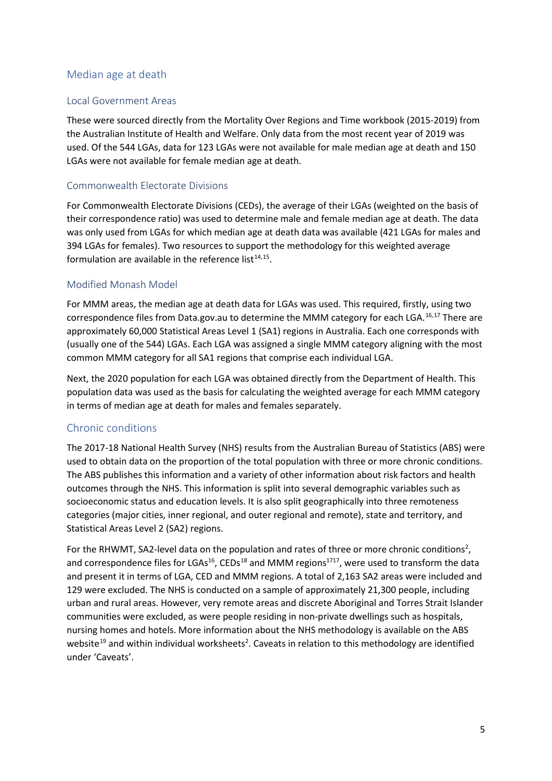## <span id="page-4-0"></span>Median age at death

#### <span id="page-4-1"></span>Local Government Areas

These were sourced directly from the Mortality Over Regions and Time workbook (2015-2019) from the Australian Institute of Health and Welfare. Only data from the most recent year of 2019 was used. Of the 544 LGAs, data for 123 LGAs were not available for male median age at death and 150 LGAs were not available for female median age at death.

#### <span id="page-4-2"></span>Commonwealth Electorate Divisions

For Commonwealth Electorate Divisions (CEDs), the average of their LGAs (weighted on the basis of their correspondence ratio) was used to determine male and female median age at death. The data was only used from LGAs for which median age at death data was available (421 LGAs for males and 394 LGAs for females). Two resources to support the methodology for this weighted average formulation are available in the reference list $14,15$ .

#### <span id="page-4-3"></span>Modified Monash Model

<span id="page-4-6"></span><span id="page-4-5"></span>For MMM areas, the median age at death data for LGAs was used. This required, firstly, using two correspondence files from Data.gov.au to determine the MMM category for each LGA.<sup>[16,](#page-11-2)[17](#page-11-3)</sup> There are approximately 60,000 Statistical Areas Level 1 (SA1) regions in Australia. Each one corresponds with (usually one of the 544) LGAs. Each LGA was assigned a single MMM category aligning with the most common MMM category for all SA1 regions that comprise each individual LGA.

Next, the 2020 population for each LGA was obtained directly from the Department of Health. This population data was used as the basis for calculating the weighted average for each MMM category in terms of median age at death for males and females separately.

#### <span id="page-4-4"></span>Chronic conditions

The 2017-18 National Health Survey (NHS) results from the Australian Bureau of Statistics (ABS) were used to obtain data on the proportion of the total population with three or more chronic conditions. The ABS publishes this information and a variety of other information about risk factors and health outcomes through the NHS. This information is split into several demographic variables such as socioeconomic status and education levels. It is also split geographically into three remoteness categories (major cities, inner regional, and outer regional and remote), state and territory, and Statistical Areas Level 2 (SA2) regions.

<span id="page-4-7"></span>For the RHWMT, SA2-level data on the population and rates of three or more chronic conditions<sup>2</sup>, and correspondence files for LGAs<sup>16</sup>, CEDs<sup>[18](#page-11-4)</sup> and MMM regions<sup>1717</sup>, were used to transform the data and present it in terms of LGA, CED and MMM regions. A total of 2,163 SA2 areas were included and 129 were excluded. The NHS is conducted on a sample of approximately 21,300 people, including urban and rural areas. However, very remote areas and discrete Aboriginal and Torres Strait Islander communities were excluded, as were people residing in non-private dwellings such as hospitals, nursing homes and hotels. More information about the NHS methodology is available on the ABS website<sup>[19](#page-11-5)</sup> and within individual worksheets<sup>2</sup>. Caveats in relation to this methodology are identified under ['Caveats'](#page-6-1).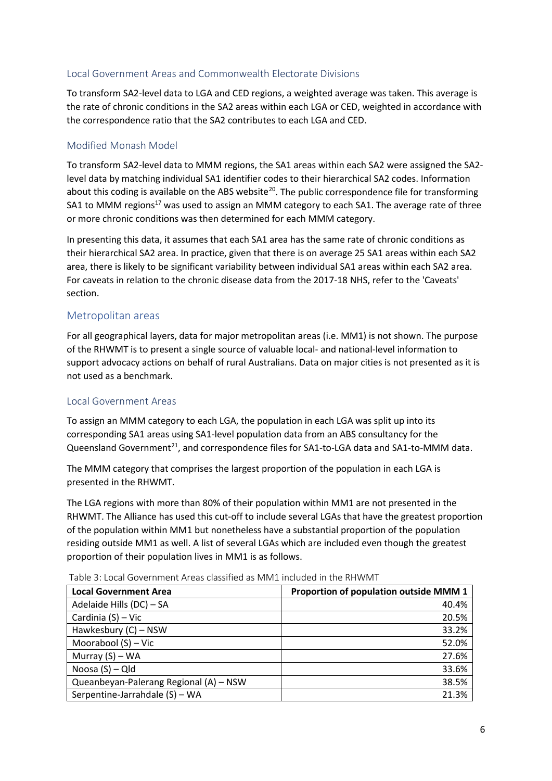## <span id="page-5-0"></span>Local Government Areas and Commonwealth Electorate Divisions

To transform SA2-level data to LGA and CED regions, a weighted average was taken. This average is the rate of chronic conditions in the SA2 areas within each LGA or CED, weighted in accordance with the correspondence ratio that the SA2 contributes to each LGA and CED.

## <span id="page-5-1"></span>Modified Monash Model

To transform SA2-level data to MMM regions, the SA1 areas within each SA2 were assigned the SA2 level data by matching individual SA1 identifier codes to their hierarchical SA2 codes. Information about this coding is available on the ABS website<sup>[20](#page-11-6)</sup>. The public correspondence file for transforming SA1 to MMM regions<sup>17</sup> was used to assign an MMM category to each SA1. The average rate of three or more chronic conditions was then determined for each MMM category.

In presenting this data, it assumes that each SA1 area has the same rate of chronic conditions as their hierarchical SA2 area. In practice, given that there is on average 25 SA1 areas within each SA2 area, there is likely to be significant variability between individual SA1 areas within each SA2 area. For caveats in relation to the chronic disease data from the 2017-18 NHS, refer to th[e 'Caveats'](#page-8-1) section.

## <span id="page-5-2"></span>Metropolitan areas

For all geographical layers, data for major metropolitan areas (i.e. MM1) is not shown. The purpose of the RHWMT is to present a single source of valuable local- and national-level information to support advocacy actions on behalf of rural Australians. Data on major cities is not presented as it is not used as a benchmark.

#### <span id="page-5-3"></span>Local Government Areas

To assign an MMM category to each LGA, the population in each LGA was split up into its corresponding SA1 areas using SA1-level population data from an ABS consultancy for the Queensland Government<sup>[21](#page-11-7)</sup>, and correspondence files for SA1-to-LGA data and SA1-to-MMM data.

The MMM category that comprises the largest proportion of the population in each LGA is presented in the RHWMT.

The LGA regions with more than 80% of their population within MM1 are not presented in the RHWMT. The Alliance has used this cut-off to include several LGAs that have the greatest proportion of the population within MM1 but nonetheless have a substantial proportion of the population residing outside MM1 as well. A list of several LGAs which are included even though the greatest proportion of their population lives in MM1 is as follows.

| <b>Local Government Area</b>           | Proportion of population outside MMM 1 |
|----------------------------------------|----------------------------------------|
| Adelaide Hills (DC) - SA               | 40.4%                                  |
| Cardinia (S) - Vic                     | 20.5%                                  |
| Hawkesbury (C) - NSW                   | 33.2%                                  |
| Moorabool $(S)$ – Vic                  | 52.0%                                  |
| Murray $(S)$ – WA                      | 27.6%                                  |
| Noosa (S) - Qld                        | 33.6%                                  |
| Queanbeyan-Palerang Regional (A) - NSW | 38.5%                                  |
| Serpentine-Jarrahdale (S) - WA         | 21.3%                                  |

Table 3: Local Government Areas classified as MM1 included in the RHWMT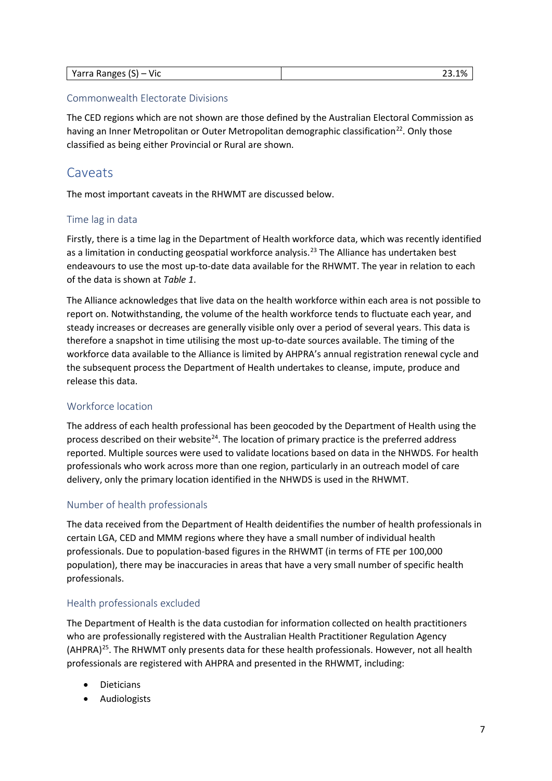| <br>Varra<br>Yarra Ranges<br><b>VIC</b><br>. . | - -<br>1%<br><u>.</u><br>_____ |
|------------------------------------------------|--------------------------------|
|------------------------------------------------|--------------------------------|

#### <span id="page-6-0"></span>Commonwealth Electorate Divisions

The CED regions which are not shown are those defined by the Australian Electoral Commission as having an Inner Metropolitan or Outer Metropolitan demographic classification<sup>[22](#page-11-8)</sup>. Only those classified as being either Provincial or Rural are shown.

# <span id="page-6-1"></span>Caveats

The most important caveats in the RHWMT are discussed below.

## <span id="page-6-2"></span>Time lag in data

Firstly, there is a time lag in the Department of Health workforce data, which was recently identified as a limitation in conducting geospatial workforce analysis.<sup>[23](#page-11-9)</sup> The Alliance has undertaken best endeavours to use the most up-to-date data available for the RHWMT. The year in relation to each of the data is shown at *[Table 1](#page-1-3)*.

The Alliance acknowledges that live data on the health workforce within each area is not possible to report on. Notwithstanding, the volume of the health workforce tends to fluctuate each year, and steady increases or decreases are generally visible only over a period of several years. This data is therefore a snapshot in time utilising the most up-to-date sources available. The timing of the workforce data available to the Alliance is limited by AHPRA's annual registration renewal cycle and the subsequent process the Department of Health undertakes to cleanse, impute, produce and release this data.

#### <span id="page-6-3"></span>Workforce location

The address of each health professional has been geocoded by the Department of Health using the process described on their website<sup>[24](#page-11-10)</sup>. The location of primary practice is the preferred address reported. Multiple sources were used to validate locations based on data in the NHWDS. For health professionals who work across more than one region, particularly in an outreach model of care delivery, only the primary location identified in the NHWDS is used in the RHWMT.

#### <span id="page-6-4"></span>Number of health professionals

The data received from the Department of Health deidentifies the number of health professionals in certain LGA, CED and MMM regions where they have a small number of individual health professionals. Due to population-based figures in the RHWMT (in terms of FTE per 100,000 population), there may be inaccuracies in areas that have a very small number of specific health professionals.

#### <span id="page-6-5"></span>Health professionals excluded

The Department of Health is the data custodian for information collected on health practitioners who are professionally registered with the Australian Health Practitioner Regulation Agency  $(AHPRA)^{25}$ . The RHWMT only presents data for these health professionals. However, not all health professionals are registered with AHPRA and presented in the RHWMT, including:

- Dieticians
- Audiologists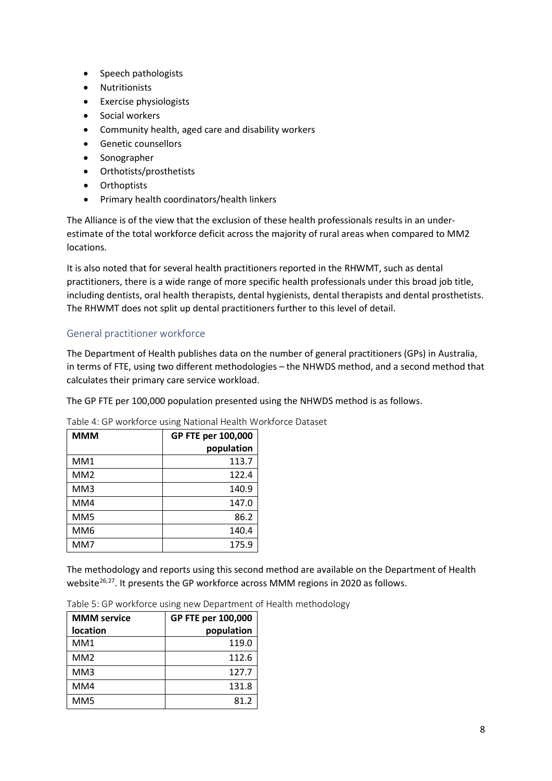- Speech pathologists
- Nutritionists
- Exercise physiologists
- Social workers
- Community health, aged care and disability workers
- Genetic counsellors
- Sonographer
- Orthotists/prosthetists
- Orthoptists
- Primary health coordinators/health linkers

The Alliance is of the view that the exclusion of these health professionals results in an underestimate of the total workforce deficit across the majority of rural areas when compared to MM2 locations.

It is also noted that for several health practitioners reported in the RHWMT, such as dental practitioners, there is a wide range of more specific health professionals under this broad job title, including dentists, oral health therapists, dental hygienists, dental therapists and dental prosthetists. The RHWMT does not split up dental practitioners further to this level of detail.

## <span id="page-7-0"></span>General practitioner workforce

The Department of Health publishes data on the number of general practitioners (GPs) in Australia, in terms of FTE, using two different methodologies – the NHWDS method, and a second method that calculates their primary care service workload.

The GP FTE per 100,000 population presented using the NHWDS method is as follows.

| <b>MMM</b>      | GP FTE per 100,000 |
|-----------------|--------------------|
|                 | population         |
| MM1             | 113.7              |
| MM <sub>2</sub> | 122.4              |
| MM3             | 140.9              |
| MM4             | 147.0              |
| MM5             | 86.2               |
| MM <sub>6</sub> | 140.4              |
| MM7             | 175.9              |

<span id="page-7-1"></span>Table 4: GP workforce using National Health Workforce Dataset

The methodology and reports using this second method are available on the Department of Health website $26,27$  $26,27$ . It presents the GP workforce across MMM regions in 2020 as follows.

| <b>MMM</b> service | GP FTE per 100,000 |
|--------------------|--------------------|
| <b>location</b>    | population         |
| MM1                | 119.0              |
| MM <sub>2</sub>    | 112.6              |
| MM3                | 127.7              |
| MM4                | 131.8              |
| MM <sub>5</sub>    | 81.2               |

Table 5: GP workforce using new Department of Health methodology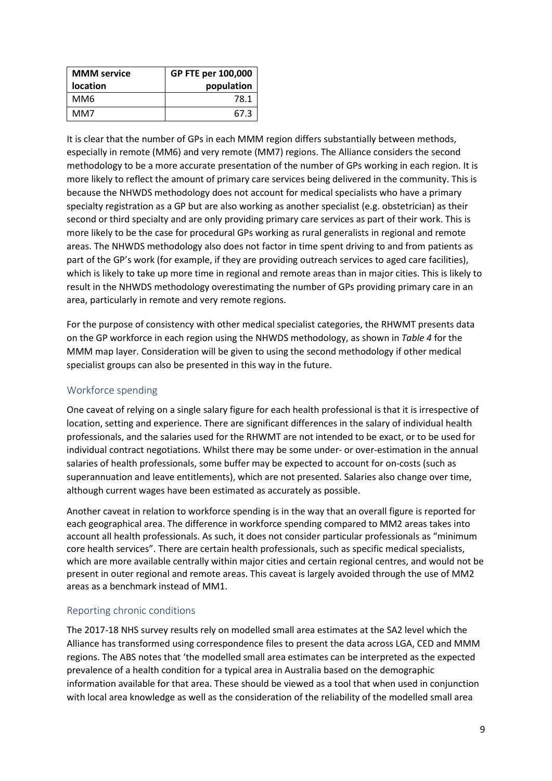| <b>MMM</b> service | GP FTE per 100,000 |
|--------------------|--------------------|
| <b>location</b>    | population         |
| MM6                | 78.1               |
| MM7                | 67.3               |

It is clear that the number of GPs in each MMM region differs substantially between methods, especially in remote (MM6) and very remote (MM7) regions. The Alliance considers the second methodology to be a more accurate presentation of the number of GPs working in each region. It is more likely to reflect the amount of primary care services being delivered in the community. This is because the NHWDS methodology does not account for medical specialists who have a primary specialty registration as a GP but are also working as another specialist (e.g. obstetrician) as their second or third specialty and are only providing primary care services as part of their work. This is more likely to be the case for procedural GPs working as rural generalists in regional and remote areas. The NHWDS methodology also does not factor in time spent driving to and from patients as part of the GP's work (for example, if they are providing outreach services to aged care facilities), which is likely to take up more time in regional and remote areas than in major cities. This is likely to result in the NHWDS methodology overestimating the number of GPs providing primary care in an area, particularly in remote and very remote regions.

For the purpose of consistency with other medical specialist categories, the RHWMT presents data on the GP workforce in each region using the NHWDS methodology, as shown in *[Table 4](#page-7-1)* for the MMM map layer. Consideration will be given to using the second methodology if other medical specialist groups can also be presented in this way in the future.

## <span id="page-8-0"></span>Workforce spending

One caveat of relying on a single salary figure for each health professional is that it is irrespective of location, setting and experience. There are significant differences in the salary of individual health professionals, and the salaries used for the RHWMT are not intended to be exact, or to be used for individual contract negotiations. Whilst there may be some under- or over-estimation in the annual salaries of health professionals, some buffer may be expected to account for on-costs (such as superannuation and leave entitlements), which are not presented. Salaries also change over time, although current wages have been estimated as accurately as possible.

Another caveat in relation to workforce spending is in the way that an overall figure is reported for each geographical area. The difference in workforce spending compared to MM2 areas takes into account all health professionals. As such, it does not consider particular professionals as "minimum core health services". There are certain health professionals, such as specific medical specialists, which are more available centrally within major cities and certain regional centres, and would not be present in outer regional and remote areas. This caveat is largely avoided through the use of MM2 areas as a benchmark instead of MM1.

#### <span id="page-8-1"></span>Reporting chronic conditions

The 2017-18 NHS survey results rely on modelled small area estimates at the SA2 level which the Alliance has transformed using correspondence files to present the data across LGA, CED and MMM regions. The ABS notes that 'the modelled small area estimates can be interpreted as the expected prevalence of a health condition for a typical area in Australia based on the demographic information available for that area. These should be viewed as a tool that when used in conjunction with local area knowledge as well as the consideration of the reliability of the modelled small area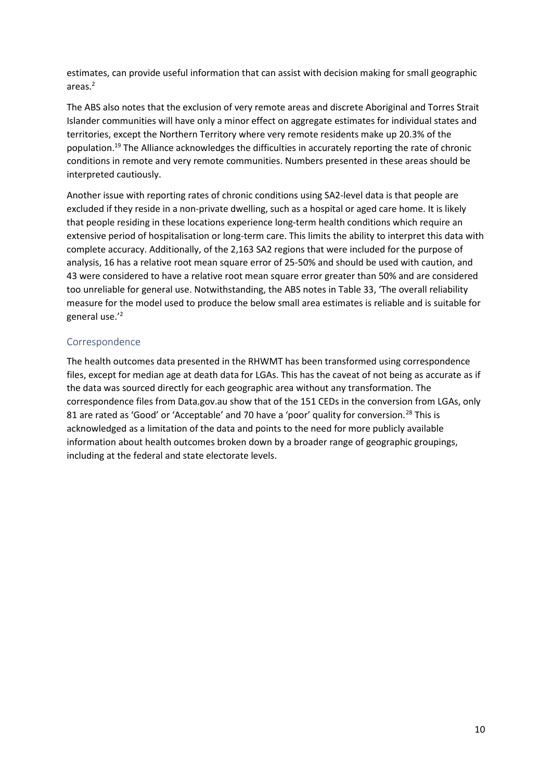estimates, can provide useful information that can assist with decision making for small geographic areas[.2](#page-1-4)

The ABS also notes that the exclusion of very remote areas and discrete Aboriginal and Torres Strait Islander communities will have only a minor effect on aggregate estimates for individual states and territories, except the Northern Territory where very remote residents make up 20.3% of the population[.19](#page-4-7) The Alliance acknowledges the difficulties in accurately reporting the rate of chronic conditions in remote and very remote communities. Numbers presented in these areas should be interpreted cautiously.

Another issue with reporting rates of chronic conditions using SA2-level data is that people are excluded if they reside in a non-private dwelling, such as a hospital or aged care home. It is likely that people residing in these locations experience long-term health conditions which require an extensive period of hospitalisation or long-term care. This limits the ability to interpret this data with complete accuracy. Additionally, of the 2,163 SA2 regions that were included for the purpose of analysis, 16 has a relative root mean square error of 25-50% and should be used with caution, and 43 were considered to have a relative root mean square error greater than 50% and are considered too unreliable for general use. Notwithstanding, the ABS notes in Table 33, 'The overall reliability measure for the model used to produce the below small area estimates is reliable and is suitable for general use.'<sup>[2](#page-1-4)</sup>

#### <span id="page-9-0"></span>Correspondence

The health outcomes data presented in the RHWMT has been transformed using correspondence files, except for median age at death data for LGAs. This has the caveat of not being as accurate as if the data was sourced directly for each geographic area without any transformation. The correspondence files from Data.gov.au show that of the 151 CEDs in the conversion from LGAs, only 81 are rated as 'Good' or 'Acceptable' and 70 have a 'poor' quality for conversion.<sup>[28](#page-12-1)</sup> This is acknowledged as a limitation of the data and points to the need for more publicly available information about health outcomes broken down by a broader range of geographic groupings, including at the federal and state electorate levels.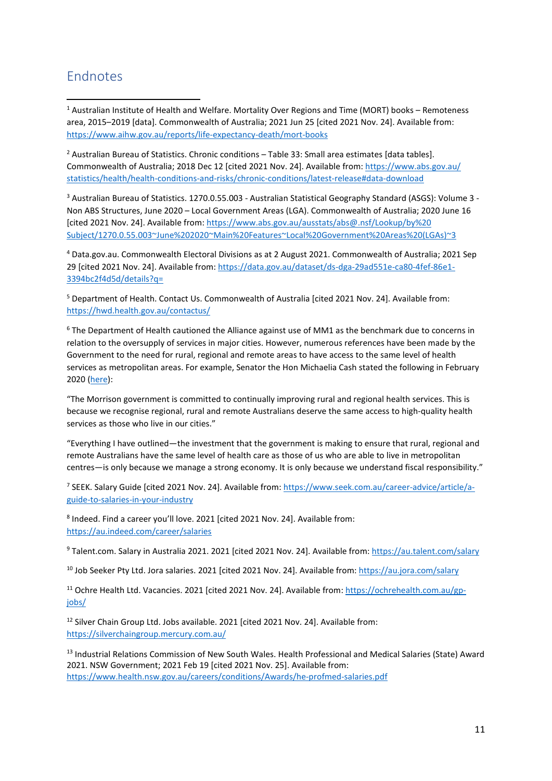# <span id="page-10-0"></span>**Endnotes**

<span id="page-10-1"></span><sup>1</sup> Australian Institute of Health and Welfare. Mortality Over Regions and Time (MORT) books – Remoteness area, 2015–2019 [data]. Commonwealth of Australia; 2021 Jun 25 [cited 2021 Nov. 24]. Available from: <https://www.aihw.gov.au/reports/life-expectancy-death/mort-books>

<span id="page-10-2"></span><sup>2</sup> Australian Bureau of Statistics. Chronic conditions – Table 33: Small area estimates [data tables]. Commonwealth of Australia; 2018 Dec 12 [cited 2021 Nov. 24]. Available from: [https://www.abs.gov.au/](https://www.abs.gov.au/statistics/health/health-conditions-and-risks/chronic-conditions/latest-release#data-download) [statistics/health/health-conditions-and-risks/chronic-conditions/latest-release#data-download](https://www.abs.gov.au/statistics/health/health-conditions-and-risks/chronic-conditions/latest-release#data-download)

<span id="page-10-3"></span><sup>3</sup> Australian Bureau of Statistics. 1270.0.55.003 - Australian Statistical Geography Standard (ASGS): Volume 3 - Non ABS Structures, June 2020 – Local Government Areas (LGA). Commonwealth of Australia; 2020 June 16 [cited 2021 Nov. 24]. Available from: [https://www.abs.gov.au/ausstats/abs@.nsf/Lookup/by%20](https://www.abs.gov.au/ausstats/abs@.nsf/Lookup/by%20Subject/1270.0.55.003%7EJune%202020%7EMain%20Features%7ELocal%20Government%20Areas%20(LGAs)%7E3) [Subject/1270.0.55.003~June%202020~Main%20Features~Local%20Government%20Areas%20\(LGAs\)~3](https://www.abs.gov.au/ausstats/abs@.nsf/Lookup/by%20Subject/1270.0.55.003%7EJune%202020%7EMain%20Features%7ELocal%20Government%20Areas%20(LGAs)%7E3)

<span id="page-10-4"></span><sup>4</sup> Data.gov.au. Commonwealth Electoral Divisions as at 2 August 2021. Commonwealth of Australia; 2021 Sep 29 [cited 2021 Nov. 24]. Available from: [https://data.gov.au/dataset/ds-dga-29ad551e-ca80-4fef-86e1-](https://data.gov.au/dataset/ds-dga-29ad551e-ca80-4fef-86e1-3394bc2f4d5d/details?q=) [3394bc2f4d5d/details?q=](https://data.gov.au/dataset/ds-dga-29ad551e-ca80-4fef-86e1-3394bc2f4d5d/details?q=)

<span id="page-10-5"></span><sup>5</sup> Department of Health. Contact Us. Commonwealth of Australia [cited 2021 Nov. 24]. Available from: <https://hwd.health.gov.au/contactus/>

<span id="page-10-6"></span> $6$  The Department of Health cautioned the Alliance against use of MM1 as the benchmark due to concerns in relation to the oversupply of services in major cities. However, numerous references have been made by the Government to the need for rural, regional and remote areas to have access to the same level of health services as metropolitan areas. For example, Senator the Hon Michaelia Cash stated the following in February 2020 [\(here\)](https://www.openaustralia.org.au/senate/?id=2020-02-26.137.1):

"The Morrison government is committed to continually improving rural and regional health services. This is because we recognise regional, rural and remote Australians deserve the same access to high-quality health services as those who live in our cities."

"Everything I have outlined—the investment that the government is making to ensure that rural, regional and remote Australians have the same level of health care as those of us who are able to live in metropolitan centres—is only because we manage a strong economy. It is only because we understand fiscal responsibility."

<span id="page-10-7"></span><sup>7</sup> SEEK. Salary Guide [cited 2021 Nov. 24]. Available from: [https://www.seek.com.au/career-advice/article/a](https://www.seek.com.au/career-advice/article/a-guide-to-salaries-in-your-industry)[guide-to-salaries-in-your-industry](https://www.seek.com.au/career-advice/article/a-guide-to-salaries-in-your-industry)

<span id="page-10-8"></span><sup>8</sup> Indeed. Find a career you'll love. 2021 [cited 2021 Nov. 24]. Available from: <https://au.indeed.com/career/salaries>

<span id="page-10-9"></span><sup>9</sup> Talent.com. Salary in Australia 2021. 2021 [cited 2021 Nov. 24]. Available from:<https://au.talent.com/salary>

<span id="page-10-10"></span><sup>10</sup> Job Seeker Pty Ltd. Jora salaries. 2021 [cited 2021 Nov. 24]. Available from:<https://au.jora.com/salary>

<span id="page-10-11"></span><sup>11</sup> Ochre Health Ltd. Vacancies. 2021 [cited 2021 Nov. 24]. Available from: [https://ochrehealth.com.au/gp](https://ochrehealth.com.au/gp-jobs/)[jobs/](https://ochrehealth.com.au/gp-jobs/)

<span id="page-10-12"></span><sup>12</sup> Silver Chain Group Ltd. Jobs available. 2021 [cited 2021 Nov. 24]. Available from: <https://silverchaingroup.mercury.com.au/>

<span id="page-10-13"></span><sup>13</sup> Industrial Relations Commission of New South Wales. Health Professional and Medical Salaries (State) Award 2021. NSW Government; 2021 Feb 19 [cited 2021 Nov. 25]. Available from: <https://www.health.nsw.gov.au/careers/conditions/Awards/he-profmed-salaries.pdf>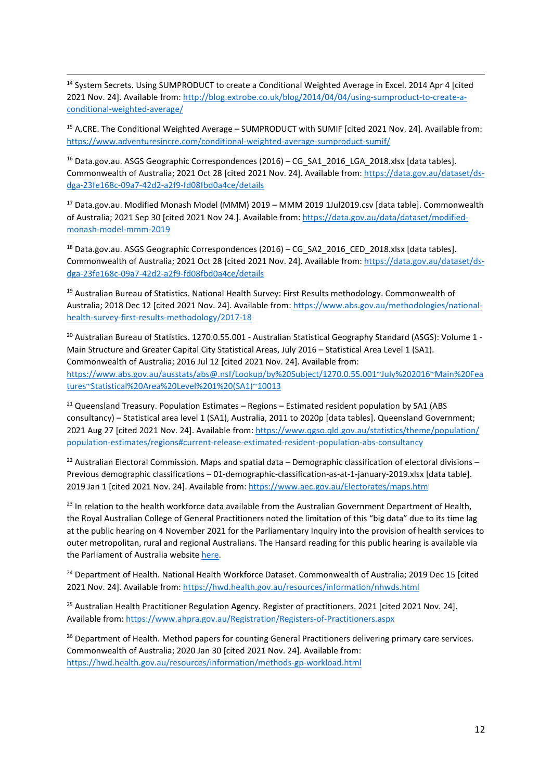<span id="page-11-0"></span><sup>14</sup> System Secrets. Using SUMPRODUCT to create a Conditional Weighted Average in Excel. 2014 Apr 4 [cited 2021 Nov. 24]. Available from[: http://blog.extrobe.co.uk/blog/2014/04/04/using-sumproduct-to-create-a](http://blog.extrobe.co.uk/blog/2014/04/04/using-sumproduct-to-create-a-conditional-weighted-average/)[conditional-weighted-average/](http://blog.extrobe.co.uk/blog/2014/04/04/using-sumproduct-to-create-a-conditional-weighted-average/)

<span id="page-11-1"></span><sup>15</sup> A.CRE. The Conditional Weighted Average – SUMPRODUCT with SUMIF [cited 2021 Nov. 24]. Available from: <https://www.adventuresincre.com/conditional-weighted-average-sumproduct-sumif/>

<span id="page-11-2"></span><sup>16</sup> Data.gov.au. ASGS Geographic Correspondences (2016) – CG\_SA1\_2016\_LGA\_2018.xlsx [data tables]. Commonwealth of Australia; 2021 Oct 28 [cited 2021 Nov. 24]. Available from: [https://data.gov.au/dataset/ds](https://data.gov.au/dataset/ds-dga-23fe168c-09a7-42d2-a2f9-fd08fbd0a4ce/details)[dga-23fe168c-09a7-42d2-a2f9-fd08fbd0a4ce/details](https://data.gov.au/dataset/ds-dga-23fe168c-09a7-42d2-a2f9-fd08fbd0a4ce/details)

<span id="page-11-3"></span><sup>17</sup> Data.gov.au. Modified Monash Model (MMM) 2019 – MMM 2019 1Jul2019.csv [data table]. Commonwealth of Australia; 2021 Sep 30 [cited 2021 Nov 24.]. Available from[: https://data.gov.au/data/dataset/modified](https://data.gov.au/data/dataset/modified-monash-model-mmm-2019)[monash-model-mmm-2019](https://data.gov.au/data/dataset/modified-monash-model-mmm-2019)

<span id="page-11-4"></span><sup>18</sup> Data.gov.au. ASGS Geographic Correspondences (2016) – CG\_SA2\_2016\_CED\_2018.xlsx [data tables]. Commonwealth of Australia; 2021 Oct 28 [cited 2021 Nov. 24]. Available from: [https://data.gov.au/dataset/ds](https://data.gov.au/dataset/ds-dga-23fe168c-09a7-42d2-a2f9-fd08fbd0a4ce/details)[dga-23fe168c-09a7-42d2-a2f9-fd08fbd0a4ce/details](https://data.gov.au/dataset/ds-dga-23fe168c-09a7-42d2-a2f9-fd08fbd0a4ce/details)

<span id="page-11-5"></span><sup>19</sup> Australian Bureau of Statistics. National Health Survey: First Results methodology. Commonwealth of Australia; 2018 Dec 12 [cited 2021 Nov. 24]. Available from[: https://www.abs.gov.au/methodologies/national](https://www.abs.gov.au/methodologies/national-health-survey-first-results-methodology/2017-18)[health-survey-first-results-methodology/2017-18](https://www.abs.gov.au/methodologies/national-health-survey-first-results-methodology/2017-18)

<span id="page-11-6"></span><sup>20</sup> Australian Bureau of Statistics. 1270.0.55.001 - Australian Statistical Geography Standard (ASGS): Volume 1 -Main Structure and Greater Capital City Statistical Areas, July 2016 – Statistical Area Level 1 (SA1). Commonwealth of Australia; 2016 Jul 12 [cited 2021 Nov. 24]. Available from: [https://www.abs.gov.au/ausstats/abs@.nsf/Lookup/by%20Subject/1270.0.55.001~July%202016~Main%20Fea](https://www.abs.gov.au/ausstats/abs@.nsf/Lookup/by%20Subject/1270.0.55.001%7EJuly%202016%7EMain%20Features%7EStatistical%20Area%20Level%201%20(SA1)%7E10013) [tures~Statistical%20Area%20Level%201%20\(SA1\)~10013](https://www.abs.gov.au/ausstats/abs@.nsf/Lookup/by%20Subject/1270.0.55.001%7EJuly%202016%7EMain%20Features%7EStatistical%20Area%20Level%201%20(SA1)%7E10013)

<span id="page-11-7"></span> $21$  Queensland Treasury. Population Estimates – Regions – Estimated resident population by SA1 (ABS consultancy) – Statistical area level 1 (SA1), Australia, 2011 to 2020p [data tables]. Queensland Government; 2021 Aug 27 [cited 2021 Nov. 24]. Available from: [https://www.qgso.qld.gov.au/statistics/theme/population/](https://www.qgso.qld.gov.au/statistics/theme/population/population-estimates/regions#current-release-estimated-resident-population-abs-consultancy) [population-estimates/regions#current-release-estimated-resident-population-abs-consultancy](https://www.qgso.qld.gov.au/statistics/theme/population/population-estimates/regions#current-release-estimated-resident-population-abs-consultancy)

<span id="page-11-8"></span><sup>22</sup> Australian Electoral Commission. Maps and spatial data – Demographic classification of electoral divisions – Previous demographic classifications – 01-demographic-classification-as-at-1-january-2019.xlsx [data table]. 2019 Jan 1 [cited 2021 Nov. 24]. Available from:<https://www.aec.gov.au/Electorates/maps.htm>

<span id="page-11-9"></span><sup>23</sup> In relation to the health workforce data available from the Australian Government Department of Health, the Royal Australian College of General Practitioners noted the limitation of this "big data" due to its time lag at the public hearing on 4 November 2021 for the Parliamentary Inquiry into the provision of health services to outer metropolitan, rural and regional Australians. The Hansard reading for this public hearing is available via the Parliament of Australia websit[e here.](https://parlinfo.aph.gov.au/parlInfo/search/display/display.w3p;db=COMMITTEES;id=committees%2Fcommsen%2F25253%2F0001;query=Id%3A%22committees%2Fcommsen%2F25253%2F0000%22)

<span id="page-11-10"></span><sup>24</sup> Department of Health. National Health Workforce Dataset. Commonwealth of Australia; 2019 Dec 15 [cited 2021 Nov. 24]. Available from[: https://hwd.health.gov.au/resources/information/nhwds.html](https://hwd.health.gov.au/resources/information/nhwds.html)

<span id="page-11-11"></span><sup>25</sup> Australian Health Practitioner Regulation Agency. Register of practitioners. 2021 [cited 2021 Nov. 24]. Available from:<https://www.ahpra.gov.au/Registration/Registers-of-Practitioners.aspx>

<span id="page-11-12"></span><sup>26</sup> Department of Health. Method papers for counting General Practitioners delivering primary care services. Commonwealth of Australia; 2020 Jan 30 [cited 2021 Nov. 24]. Available from: <https://hwd.health.gov.au/resources/information/methods-gp-workload.html>